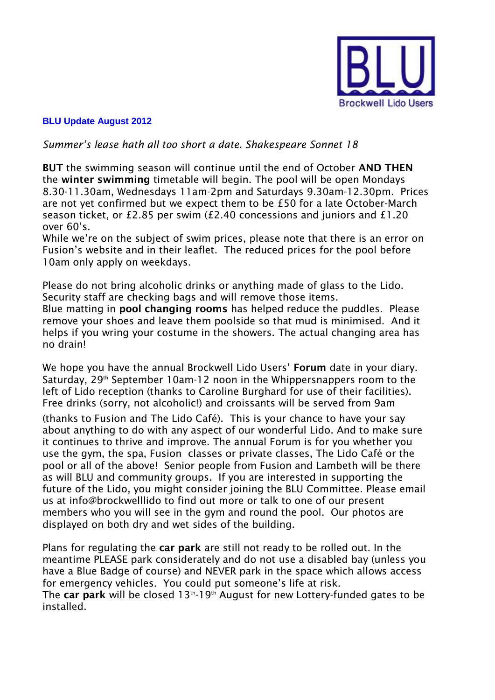

## **BLU Update August 2012**

## *Summer's lease hath all too short a date. Shakespeare Sonnet 18*

**BUT** the swimming season will continue until the end of October **AND THEN** the **winter swimming** timetable will begin. The pool will be open Mondays 8.30-11.30am, Wednesdays 11am-2pm and Saturdays 9.30am-12.30pm. Prices are not yet confirmed but we expect them to be £50 for a late October-March season ticket, or £2.85 per swim (£2.40 concessions and juniors and £1.20 over 60's.

While we're on the subject of swim prices, please note that there is an error on Fusion's website and in their leaflet. The reduced prices for the pool before 10am only apply on weekdays.

Please do not bring alcoholic drinks or anything made of glass to the Lido. Security staff are checking bags and will remove those items.

Blue matting in **pool changing rooms** has helped reduce the puddles. Please remove your shoes and leave them poolside so that mud is minimised. And it helps if you wring your costume in the showers. The actual changing area has no drain!

We hope you have the annual Brockwell Lido Users' **Forum** date in your diary. Saturday, 29<sup>th</sup> September 10am-12 noon in the Whippersnappers room to the left of Lido reception (thanks to Caroline Burghard for use of their facilities). Free drinks (sorry, not alcoholic!) and croissants will be served from 9am

(thanks to Fusion and The Lido Café). This is your chance to have your say about anything to do with any aspect of our wonderful Lido. And to make sure it continues to thrive and improve. The annual Forum is for you whether you use the gym, the spa, Fusion classes or private classes, The Lido Café or the pool or all of the above! Senior people from Fusion and Lambeth will be there as will BLU and community groups. If you are interested in supporting the future of the Lido, you might consider joining the BLU Committee. Please email us at info@brockwelllido to find out more or talk to one of our present members who you will see in the gym and round the pool. Our photos are displayed on both dry and wet sides of the building.

Plans for regulating the **car park** are still not ready to be rolled out. In the meantime PLEASE park considerately and do not use a disabled bay (unless you have a Blue Badge of course) and NEVER park in the space which allows access for emergency vehicles. You could put someone's life at risk. The **car park** will be closed 13<sup>th</sup>-19<sup>th</sup> August for new Lottery-funded gates to be installed.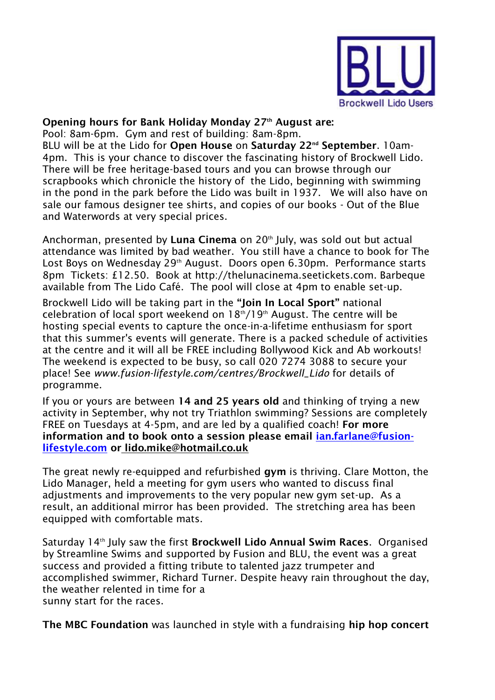

## **Opening hours for Bank Holiday Monday 27th August are:**

Pool: 8am-6pm. Gym and rest of building: 8am-8pm.

BLU will be at the Lido for **Open House** on **Saturday 22nd September**. 10am-4pm. This is your chance to discover the fascinating history of Brockwell Lido. There will be free heritage-based tours and you can browse through our scrapbooks which chronicle the history of the Lido, beginning with swimming in the pond in the park before the Lido was built in 1937. We will also have on sale our famous designer tee shirts, and copies of our books - Out of the Blue and Waterwords at very special prices.

Anchorman, presented by **Luna Cinema** on 20<sup>th</sup> July, was sold out but actual attendance was limited by bad weather. You still have a chance to book for The Lost Boys on Wednesday 29<sup>th</sup> August. Doors open 6.30pm. Performance starts 8pm Tickets: £12.50. Book at http://thelunacinema.seetickets.com. Barbeque available from The Lido Café. The pool will close at 4pm to enable set-up.

Brockwell Lido will be taking part in the **"Join In Local Sport"** national celebration of local sport weekend on  $18<sup>th</sup>/19<sup>th</sup>$  August. The centre will be hosting special events to capture the once-in-a-lifetime enthusiasm for sport that this summer's events will generate. There is a packed schedule of activities at the centre and it will all be FREE including Bollywood Kick and Ab workouts! The weekend is expected to be busy, so call 020 7274 3088 to secure your place! See *www.fusion-lifestyle.com/centres/Brockwell\_Lido* for details of programme.

If you or yours are between **14 and 25 years old** and thinking of trying a new activity in September, why not try Triathlon swimming? Sessions are completely FREE on Tuesdays at 4-5pm, and are led by a qualified coach! **For more information and to book onto a session please email [ian.farlane@fusion](mailto:ian.farlane@fusion-lifestyle.com)[lifestyle.com](mailto:ian.farlane@fusion-lifestyle.com) or lido.mike@hotmail.co.uk**

The great newly re-equipped and refurbished **gym** is thriving. Clare Motton, the Lido Manager, held a meeting for gym users who wanted to discuss final adjustments and improvements to the very popular new gym set-up. As a result, an additional mirror has been provided. The stretching area has been equipped with comfortable mats.

Saturday 14th July saw the first **Brockwell Lido Annual Swim Races**. Organised by Streamline Swims and supported by Fusion and BLU, the event was a great success and provided a fitting tribute to talented jazz trumpeter and accomplished swimmer, Richard Turner. Despite heavy rain throughout the day, the weather relented in time for a sunny start for the races.

**The MBC Foundation** was launched in style with a fundraising **hip hop concert**